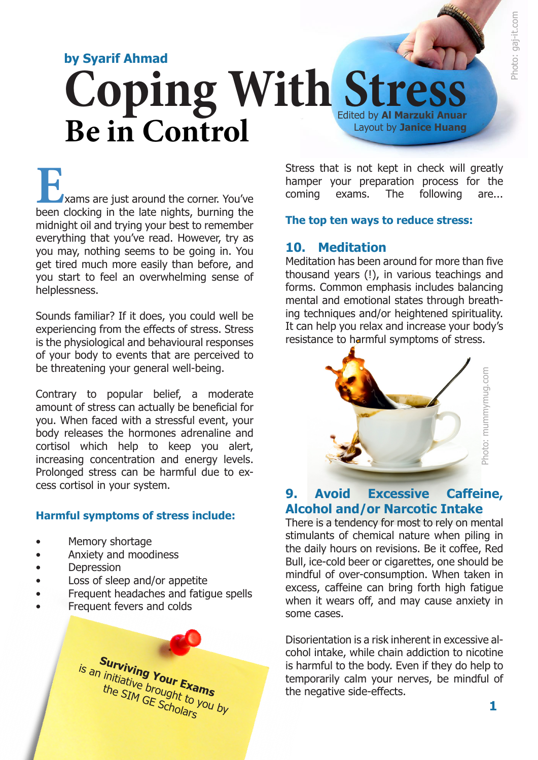# **Coping With Stress by Syarif Ahmad** Edited by **Al Marzuki Anuar** Layout by **Janice Huang Be in Control**

**EXAMPLE 1999**<br> **EXAMPLE 2009**<br> **EXAMPLE 2009**<br> **EXAMPLE 2009**<br> **EXAMPLE 2009**<br> **EXAMPLE 2009**<br> **EXAMPLE 2009**<br> **CONFIDE 2009**<br> **CONFIDE 2009**<br> **CONFIDE 2009**<br> **CONFIDE 2009**<br> **CONFIDE 2009**<br> **CONFIDE 2009**<br> **CONFIDE 2009** midnight oil and trying your best to remember everything that you've read. However, try as you may, nothing seems to be going in. You get tired much more easily than before, and you start to feel an overwhelming sense of helplessness.

Sounds familiar? If it does, you could well be experiencing from the effects of stress. Stress is the physiological and behavioural responses of your body to events that are perceived to be threatening your general well-being.

Contrary to popular belief, a moderate amount of stress can actually be beneficial for you. When faced with a stressful event, your body releases the hormones adrenaline and cortisol which help to keep you alert, increasing concentration and energy levels. Prolonged stress can be harmful due to excess cortisol in your system.

#### **Harmful symptoms of stress include:**

- Memory shortage
- Anxiety and moodiness
- **Depression**
- Loss of sleep and/or appetite
- Frequent headaches and fatigue spells
- Frequent fevers and colds



Stress that is not kept in check will greatly hamper your preparation process for the coming exams. The following are...

#### **The top ten ways to reduce stress:**

#### **10. Meditation**

Meditation has been around for more than five thousand years (!), in various teachings and forms. Common emphasis includes balancing mental and emotional states through breathing techniques and/or heightened spirituality. It can help you relax and increase your body's resistance to harmful symptoms of stress.



#### **9. Avoid Excessive Caffeine, Alcohol and/or Narcotic Intake**

There is a tendency for most to rely on mental stimulants of chemical nature when piling in the daily hours on revisions. Be it coffee, Red Bull, ice-cold beer or cigarettes, one should be mindful of over-consumption. When taken in excess, caffeine can bring forth high fatigue when it wears off, and may cause anxiety in some cases.

Disorientation is a risk inherent in excessive alcohol intake, while chain addiction to nicotine is harmful to the body. Even if they do help to temporarily calm your nerves, be mindful of the negative side-effects.